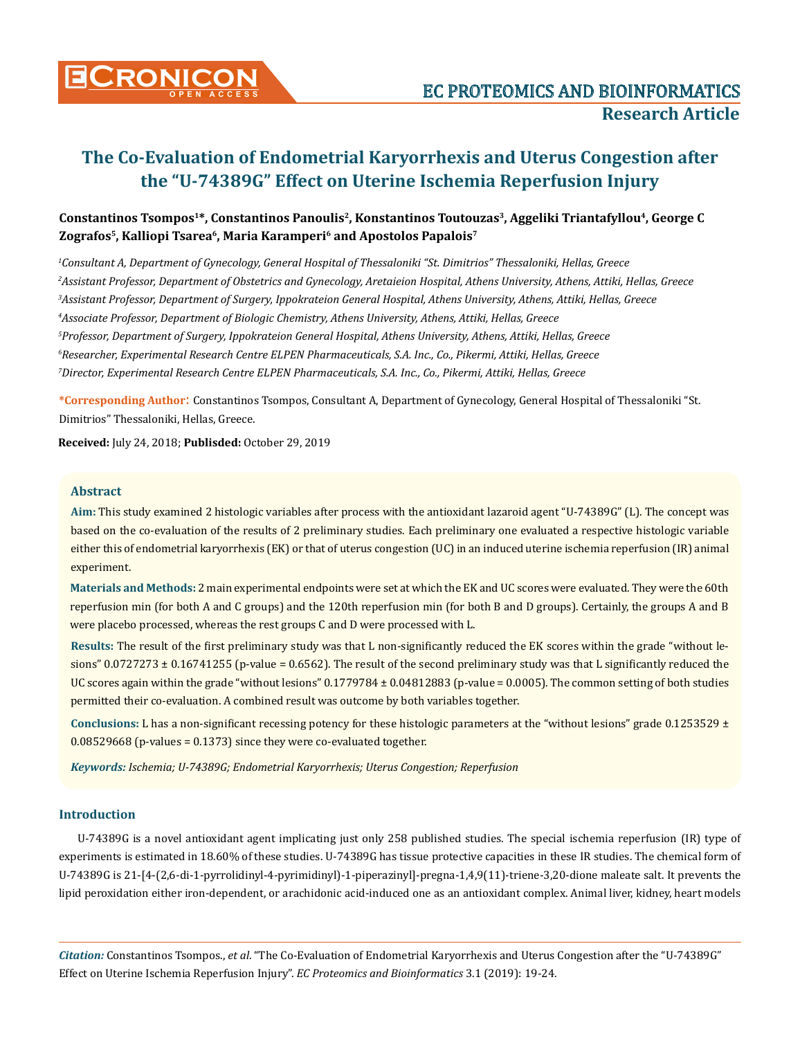

# Constantinos Tsompos<sup>1\*</sup>, Constantinos Panoulis<sup>2</sup>, Konstantinos Toutouzas<sup>3</sup>, Aggeliki Triantafyllou<sup>4</sup>, George C **Zografos5, Kalliopi Tsarea6, Maria Karamperi6 and Apostolos Papalois7**

 *Consultant A, Department of Gynecology, General Hospital of Thessaloniki "St. Dimitrios" Thessaloniki, Hellas, Greece Assistant Professor, Department of Obstetrics and Gynecology, Aretaieion Hospital, Athens University, Athens, Attiki, Hellas, Greece Assistant Professor, Department of Surgery, Ippokrateion General Hospital, Athens University, Athens, Attiki, Hellas, Greece Associate Professor, Department of Biologic Chemistry, Athens University, Athens, Attiki, Hellas, Greece Professor, Department of Surgery, Ippokrateion General Hospital, Athens University, Athens, Attiki, Hellas, Greece Researcher, Experimental Research Centre ELPEN Pharmaceuticals, S.A. Inc., Co., Pikermi, Attiki, Hellas, Greece Director, Experimental Research Centre ELPEN Pharmaceuticals, S.A. Inc., Co., Pikermi, Attiki, Hellas, Greece* 

**\*Corresponding Author**: Constantinos Tsompos, Consultant A, Department of Gynecology, General Hospital of Thessaloniki "St. Dimitrios" Thessaloniki, Hellas, Greece.

**Received:** July 24, 2018; **Publisded:** October 29, 2019

#### **Abstract**

**Aim:** This study examined 2 histologic variables after process with the antioxidant lazaroid agent "U-74389G" (L). The concept was based on the co-evaluation of the results of 2 preliminary studies. Each preliminary one evaluated a respective histologic variable either this of endometrial karyorrhexis (EK) or that of uterus congestion (UC) in an induced uterine ischemia reperfusion (IR) animal experiment.

**Materials and Methods:** 2 main experimental endpoints were set at which the EK and UC scores were evaluated. They were the 60th reperfusion min (for both A and C groups) and the 120th reperfusion min (for both B and D groups). Certainly, the groups A and B were placebo processed, whereas the rest groups C and D were processed with L.

**Results:** The result of the first preliminary study was that L non-significantly reduced the EK scores within the grade "without lesions"  $0.0727273 \pm 0.16741255$  (p-value = 0.6562). The result of the second preliminary study was that L significantly reduced the UC scores again within the grade "without lesions" 0.1779784 ± 0.04812883 (p-value = 0.0005). The common setting of both studies permitted their co-evaluation. A combined result was outcome by both variables together.

**Conclusions:** L has a non-significant recessing potency for these histologic parameters at the "without lesions" grade 0.1253529 ± 0.08529668 (p-values = 0.1373) since they were co-evaluated together.

*Keywords: Ischemia; U-74389G; Endometrial Karyorrhexis; Uterus Congestion; Reperfusion* 

#### **Introduction**

U-74389G is a novel antioxidant agent implicating just only 258 published studies. The special ischemia reperfusion (IR) type of experiments is estimated in 18.60% of these studies. U-74389G has tissue protective capacities in these IR studies. The chemical form of U-74389G is 21-[4-(2,6-di-1-pyrrolidinyl-4-pyrimidinyl)-1-piperazinyl]-pregna-1,4,9(11)-triene-3,20-dione maleate salt. It prevents the lipid peroxidation either iron-dependent, or arachidonic acid-induced one as an antioxidant complex. Animal liver, kidney, heart models

*Citation:* Constantinos Tsompos., *et al*. "The Co-Evaluation of Endometrial Karyorrhexis and Uterus Congestion after the "U-74389G" Effect on Uterine Ischemia Reperfusion Injury". *EC Proteomics and Bioinformatics* 3.1 (2019): 19-24.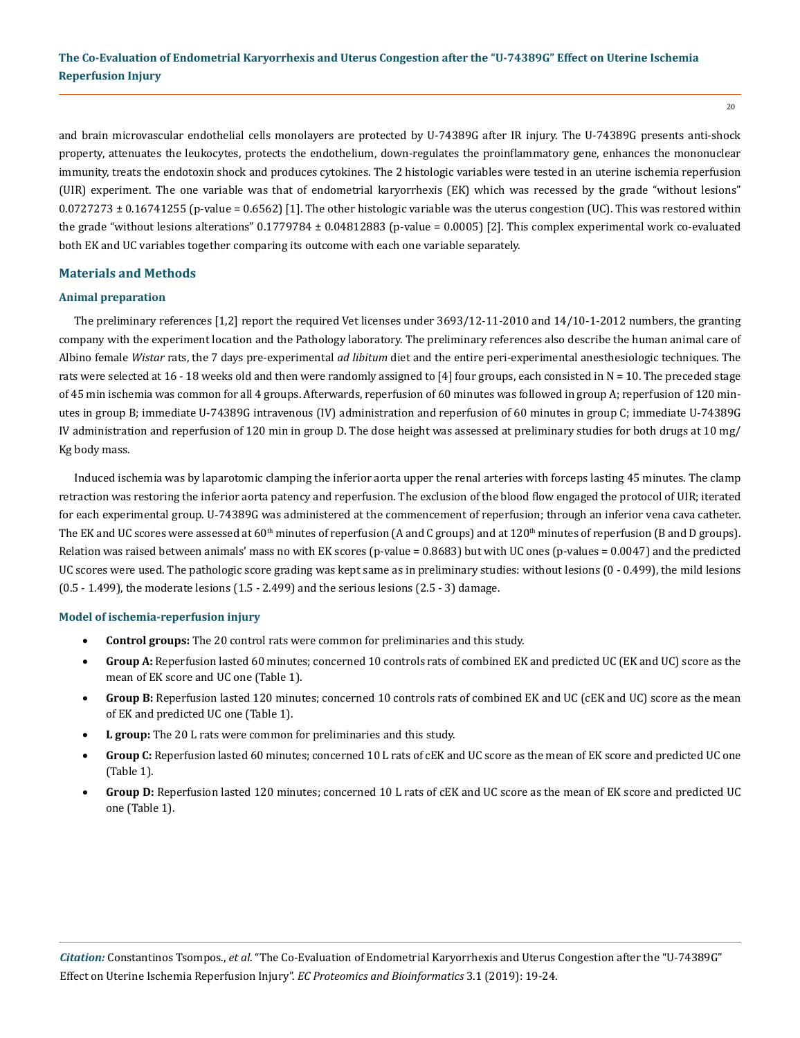and brain microvascular endothelial cells monolayers are protected by U-74389G after IR injury. The U-74389G presents anti-shock property, attenuates the leukocytes, protects the endothelium, down-regulates the proinflammatory gene, enhances the mononuclear immunity, treats the endotoxin shock and produces cytokines. The 2 histologic variables were tested in an uterine ischemia reperfusion (UIR) experiment. The one variable was that of endometrial karyorrhexis (EK) which was recessed by the grade "without lesions"  $0.0727273 \pm 0.16741255$  (p-value = 0.6562) [1]. The other histologic variable was the uterus congestion (UC). This was restored within the grade "without lesions alterations" 0.1779784 ± 0.04812883 (p-value = 0.0005) [2]. This complex experimental work co-evaluated both EK and UC variables together comparing its outcome with each one variable separately.

#### **Materials and Methods**

#### **Animal preparation**

The preliminary references [1,2] report the required Vet licenses under 3693/12-11-2010 and 14/10-1-2012 numbers, the granting company with the experiment location and the Pathology laboratory. The preliminary references also describe the human animal care of Albino female *Wistar* rats, the 7 days pre-experimental *ad libitum* diet and the entire peri-experimental anesthesiologic techniques. The rats were selected at 16 - 18 weeks old and then were randomly assigned to [4] four groups, each consisted in N = 10. The preceded stage of 45 min ischemia was common for all 4 groups. Afterwards, reperfusion of 60 minutes was followed in group A; reperfusion of 120 minutes in group B; immediate U-74389G intravenous (IV) administration and reperfusion of 60 minutes in group C; immediate U-74389G IV administration and reperfusion of 120 min in group D. The dose height was assessed at preliminary studies for both drugs at 10 mg/ Kg body mass.

Induced ischemia was by laparotomic clamping the inferior aorta upper the renal arteries with forceps lasting 45 minutes. The clamp retraction was restoring the inferior aorta patency and reperfusion. The exclusion of the blood flow engaged the protocol of UIR; iterated for each experimental group. U-74389G was administered at the commencement of reperfusion; through an inferior vena cava catheter. The EK and UC scores were assessed at  $60<sup>th</sup>$  minutes of reperfusion (A and C groups) and at  $120<sup>th</sup>$  minutes of reperfusion (B and D groups). Relation was raised between animals' mass no with EK scores (p-value = 0.8683) but with UC ones (p-values = 0.0047) and the predicted UC scores were used. The pathologic score grading was kept same as in preliminary studies: without lesions (0 - 0.499), the mild lesions  $(0.5 - 1.499)$ , the moderate lesions  $(1.5 - 2.499)$  and the serious lesions  $(2.5 - 3)$  damage.

#### **Model of ischemia-reperfusion injury**

- **Control groups:** The 20 control rats were common for preliminaries and this study.
- • **Group A:** Reperfusion lasted 60 minutes; concerned 10 controls rats of combined EK and predicted UC (EK and UC) score as the mean of EK score and UC one (Table 1).
- **Group B:** Reperfusion lasted 120 minutes; concerned 10 controls rats of combined EK and UC (cEK and UC) score as the mean of EK and predicted UC one (Table 1).
- **L** group: The 20 L rats were common for preliminaries and this study.
- Group C: Reperfusion lasted 60 minutes; concerned 10 L rats of cEK and UC score as the mean of EK score and predicted UC one (Table 1).
- Group D: Reperfusion lasted 120 minutes; concerned 10 L rats of cEK and UC score as the mean of EK score and predicted UC one (Table 1).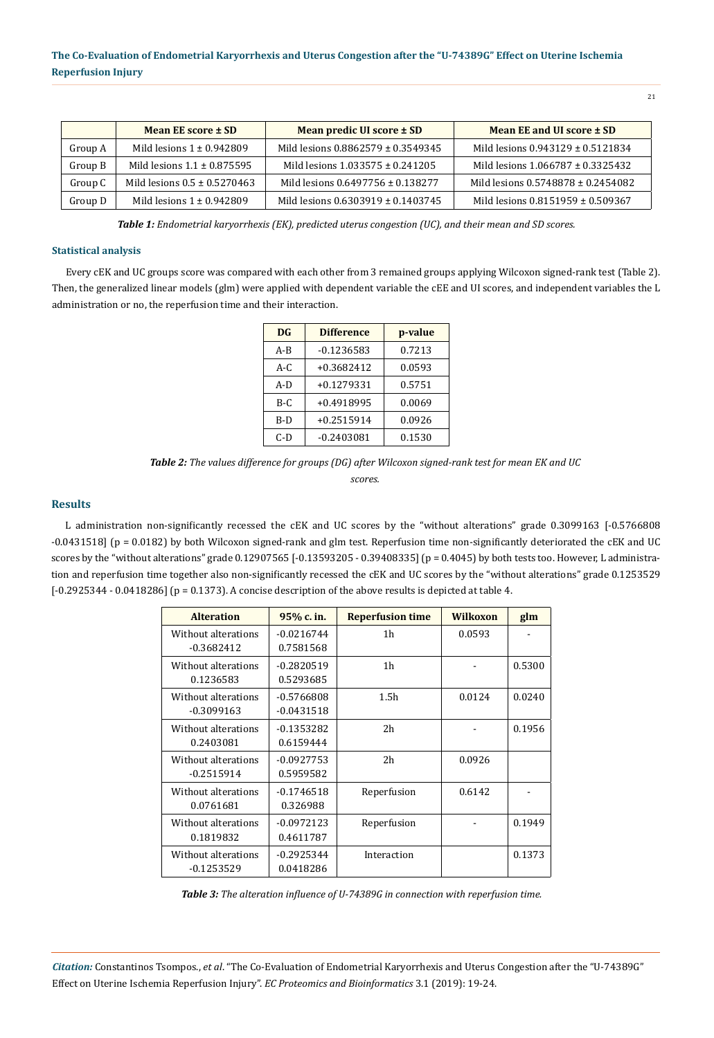|         | Mean EE score ± SD               | <b>Mean predic UI score <math>\pm</math> SD</b> | <b>Mean EE and UI score <math>\pm</math> SD</b> |  |  |
|---------|----------------------------------|-------------------------------------------------|-------------------------------------------------|--|--|
| Group A | Mild lesions $1 \pm 0.942809$    | Mild lesions $0.8862579 \pm 0.3549345$          | Mild lesions $0.943129 \pm 0.5121834$           |  |  |
| Group B | Mild lesions $1.1 \pm 0.875595$  | Mild lesions $1.033575 \pm 0.241205$            | Mild lesions $1.066787 \pm 0.3325432$           |  |  |
| Group C | Mild lesions $0.5 \pm 0.5270463$ | Mild lesions $0.6497756 \pm 0.138277$           | Mild lesions $0.5748878 \pm 0.2454082$          |  |  |
| Group D | Mild lesions $1 \pm 0.942809$    | Mild lesions 0.6303919 ± 0.1403745              | Mild lesions 0.8151959 ± 0.509367               |  |  |

*Table 1: Endometrial karyorrhexis (EK), predicted uterus congestion (UC), and their mean and SD scores.*

#### **Statistical analysis**

Every cEK and UC groups score was compared with each other from 3 remained groups applying Wilcoxon signed-rank test (Table 2). Then, the generalized linear models (glm) were applied with dependent variable the cEE and UI scores, and independent variables the L administration or no, the reperfusion time and their interaction.

| DG      | <b>Difference</b> | p-value |
|---------|-------------------|---------|
| $A - B$ | $-0.1236583$      | 0.7213  |
| $A-C$   | $+0.3682412$      | 0.0593  |
| $A-D$   | $+0.1279331$      | 0.5751  |
| $B-C$   | $+0.4918995$      | 0.0069  |
| B-D     | $+0.2515914$      | 0.0926  |
| $C-D$   | $-0.2403081$      | 0.1530  |

*Table 2: The values difference for groups (DG) after Wilcoxon signed-rank test for mean EK and UC scores.* 

#### **Results**

L administration non-significantly recessed the cEK and UC scores by the "without alterations" grade 0.3099163 [-0.5766808 -0.0431518] (p = 0.0182) by both Wilcoxon signed-rank and glm test. Reperfusion time non-significantly deteriorated the cEK and UC scores by the "without alterations" grade 0.12907565 [-0.13593205 - 0.39408335] (p = 0.4045) by both tests too. However, L administration and reperfusion time together also non-significantly recessed the cEK and UC scores by the "without alterations" grade 0.1253529  $[-0.2925344 - 0.0418286]$  (p = 0.1373). A concise description of the above results is depicted at table 4.

| <b>Alteration</b>   | 95% c. in.   | <b>Reperfusion time</b> | <b>Wilkoxon</b> | glm    |
|---------------------|--------------|-------------------------|-----------------|--------|
| Without alterations | $-0.0216744$ | 1h                      | 0.0593          |        |
| $-0.3682412$        | 0.7581568    |                         |                 |        |
| Without alterations | $-0.2820519$ | 1 <sub>h</sub>          |                 | 0.5300 |
| 0.1236583           | 0.5293685    |                         |                 |        |
| Without alterations | $-0.5766808$ | 1.5 <sub>h</sub>        | 0.0124          | 0.0240 |
| $-0.3099163$        | $-0.0431518$ |                         |                 |        |
| Without alterations | $-0.1353282$ | 2 <sub>h</sub>          |                 | 0.1956 |
| 0.2403081           | 0.6159444    |                         |                 |        |
| Without alterations | $-0.0927753$ | 2 <sub>h</sub>          | 0.0926          |        |
| $-0.2515914$        | 0.5959582    |                         |                 |        |
| Without alterations | $-0.1746518$ | Reperfusion             | 0.6142          |        |
| 0.0761681           | 0.326988     |                         |                 |        |
| Without alterations | $-0.0972123$ | Reperfusion             |                 | 0.1949 |
| 0.1819832           | 0.4611787    |                         |                 |        |
| Without alterations | $-0.2925344$ | Interaction             |                 | 0.1373 |
| $-0.1253529$        | 0.0418286    |                         |                 |        |

*Table 3: The alteration influence of U-74389G in connection with reperfusion time.*

*Citation:* Constantinos Tsompos., *et al*. "The Co-Evaluation of Endometrial Karyorrhexis and Uterus Congestion after the "U-74389G" Effect on Uterine Ischemia Reperfusion Injury". *EC Proteomics and Bioinformatics* 3.1 (2019): 19-24.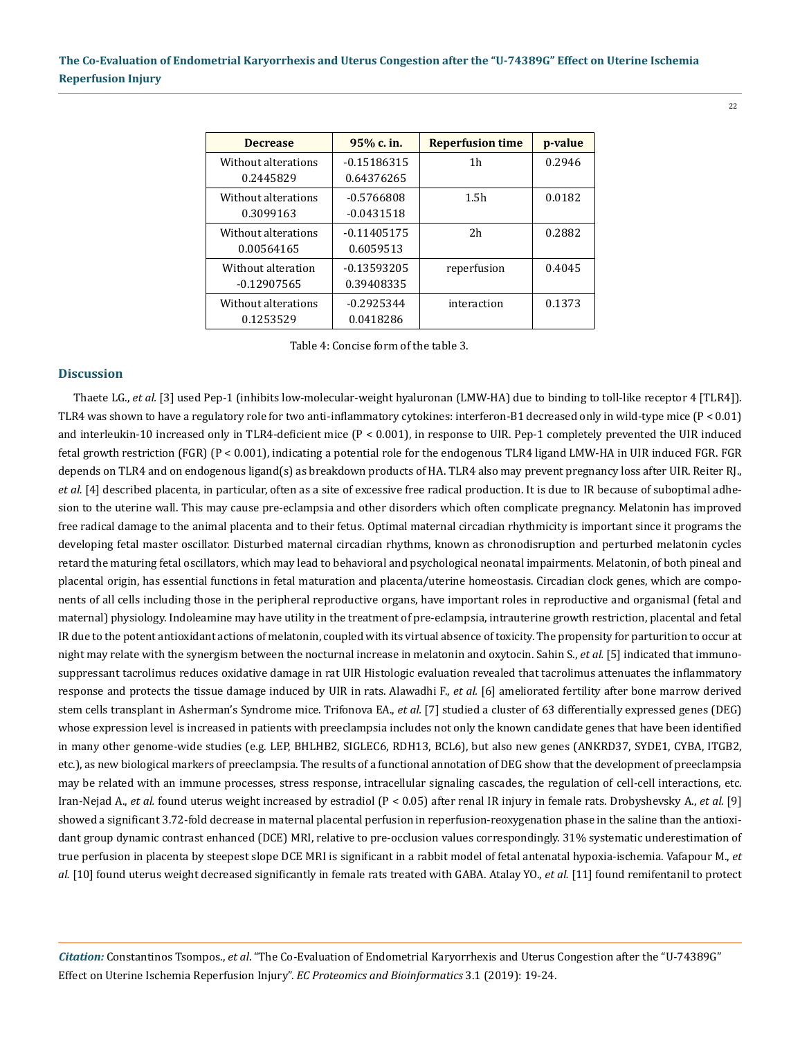| <b>Decrease</b>     | 95% c. in.    | <b>Reperfusion time</b> | p-value |
|---------------------|---------------|-------------------------|---------|
| Without alterations | $-0.15186315$ | 1h                      | 0.2946  |
| 0.2445829           | 0.64376265    |                         |         |
| Without alterations | $-0.5766808$  | 1.5 <sub>h</sub>        | 0.0182  |
| 0.3099163           | $-0.0431518$  |                         |         |
| Without alterations | $-0.11405175$ | 2 <sub>h</sub>          | 0.2882  |
| 0.00564165          | 0.6059513     |                         |         |
| Without alteration  | $-0.13593205$ | reperfusion             | 0.4045  |
| $-0.12907565$       | 0.39408335    |                         |         |
| Without alterations | $-0.2925344$  | interaction             | 0.1373  |
| 0.1253529           | 0.0418286     |                         |         |

Table 4: Concise form of the table 3.

#### **Discussion**

[Thaete LG](https://www.ncbi.nlm.nih.gov/pubmed/?term=Thaete%20LG%5BAuthor%5D&cauthor=true&cauthor_uid=23509372)., *et al.* [3] used Pep-1 (inhibits low-molecular-weight hyaluronan (LMW-HA) due to binding to toll-like receptor 4 [TLR4]). TLR4 was shown to have a regulatory role for two anti-inflammatory cytokines: interferon-B1 decreased only in wild-type mice (P < 0.01) and interleukin-10 increased only in TLR4-deficient mice (P < 0.001), in response to UIR. Pep-1 completely prevented the UIR induced fetal growth restriction (FGR) (P < 0.001), indicating a potential role for the endogenous TLR4 ligand LMW-HA in UIR induced FGR. FGR depends on TLR4 and on endogenous ligand(s) as breakdown products of HA. TLR4 also may prevent pregnancy loss after UIR. [Reiter RJ](https://www.ncbi.nlm.nih.gov/pubmed/?term=Reiter%20RJ%5BAuthor%5D&cauthor=true&cauthor_uid=24132226)., *et al.* [4] described placenta, in particular, often as a site of excessive free radical production. It is due to IR because of suboptimal adhesion to the uterine wall. This may cause pre-eclampsia and other disorders which often complicate pregnancy. Melatonin has improved free radical damage to the animal placenta and to their fetus. Optimal maternal circadian rhythmicity is important since it programs the developing fetal master oscillator. Disturbed maternal circadian rhythms, known as chronodisruption and perturbed melatonin cycles retard the maturing fetal oscillators, which may lead to behavioral and psychological neonatal impairments. Μelatonin, of both pineal and placental origin, has essential functions in fetal maturation and placenta/uterine homeostasis. Circadian clock genes, which are components of all cells including those in the peripheral reproductive organs, have important roles in reproductive and organismal (fetal and maternal) physiology. Indoleamine may have utility in the treatment of pre-eclampsia, intrauterine growth restriction, placental and fetal IR due to the potent antioxidant actions of melatonin, coupled with its virtual absence of toxicity. The propensity for parturition to occur at night may relate with the synergism between the nocturnal increase in melatonin and oxytocin. [Sahin S.](https://www.ncbi.nlm.nih.gov/pubmed/?term=Sahin%20S%5BAuthor%5D&cauthor=true&cauthor_uid=24502894), *et al.* [5] indicated that immunosuppressant tacrolimus reduces oxidative damage in rat UIR Histologic evaluation revealed that tacrolimus attenuates the inflammatory response and protects the tissue damage induced by UIR in rats. [Alawadhi F](https://www.ncbi.nlm.nih.gov/pubmed/?term=Alawadhi%20F%5BAuthor%5D&cauthor=true&cauthor_uid=24819371)., *et al.* [6] ameliorated fertility after bone marrow derived stem cells transplant in Asherman's Syndrome mice. [Trifonova EA.](https://www.ncbi.nlm.nih.gov/pubmed/?term=Trifonova%20EA%5BAuthor%5D&cauthor=true&cauthor_uid=25093114), *et al.* [7] studied a cluster of 63 differentially expressed genes (DEG) whose expression level is increased in patients with preeclampsia includes not only the known candidate genes that have been identified in many other genome-wide studies (e.g. LEP, BHLHB2, SIGLEC6, RDH13, BCL6), but also new genes (ANKRD37, SYDE1, CYBA, ITGB2, etc.), as new biological markers of preeclampsia. The results of a functional annotation of DEG show that the development of preeclampsia may be related with an immune processes, stress response, intracellular signaling cascades, the regulation of cell-cell interactions, etc. [Iran-Nejad A.](https://www.ncbi.nlm.nih.gov/pubmed/?term=Iran-Nejad%20A%5BAuthor%5D&cauthor=true&cauthor_uid=25830011), *et al.* found uterus weight increased by estradiol (P < 0.05) after renal IR injury in female rats. [Drobyshevsky A](https://www.ncbi.nlm.nih.gov/pubmed/?term=Drobyshevsky%20A%5BAuthor%5D&cauthor=true&cauthor_uid=25854322)., *et al.* [9] showed a significant 3.72-fold decrease in maternal placental perfusion in reperfusion-reoxygenation phase in the saline than the antioxidant group dynamic contrast enhanced (DCE) MRI, relative to pre-occlusion values correspondingly. 31% systematic underestimation of true perfusion in placenta by steepest slope DCE MRI is significant in a rabbit model of fetal antenatal hypoxia-ischemia. [Vafapour M.](https://www.ncbi.nlm.nih.gov/pubmed/?term=Vafapour%20M%5BAuthor%5D&cauthor=true&cauthor_uid=26380243), *et al.* [10] found uterus weight decreased significantly in female rats treated with GABA. [Atalay YO](https://www.ncbi.nlm.nih.gov/pubmed/?term=Atalay%20YO%5BAuthor%5D&cauthor=true&cauthor_uid=26647795)., *et al.* [11] found remifentanil to protect

*Citation:* Constantinos Tsompos., *et al*. "The Co-Evaluation of Endometrial Karyorrhexis and Uterus Congestion after the "U-74389G" Effect on Uterine Ischemia Reperfusion Injury". *EC Proteomics and Bioinformatics* 3.1 (2019): 19-24.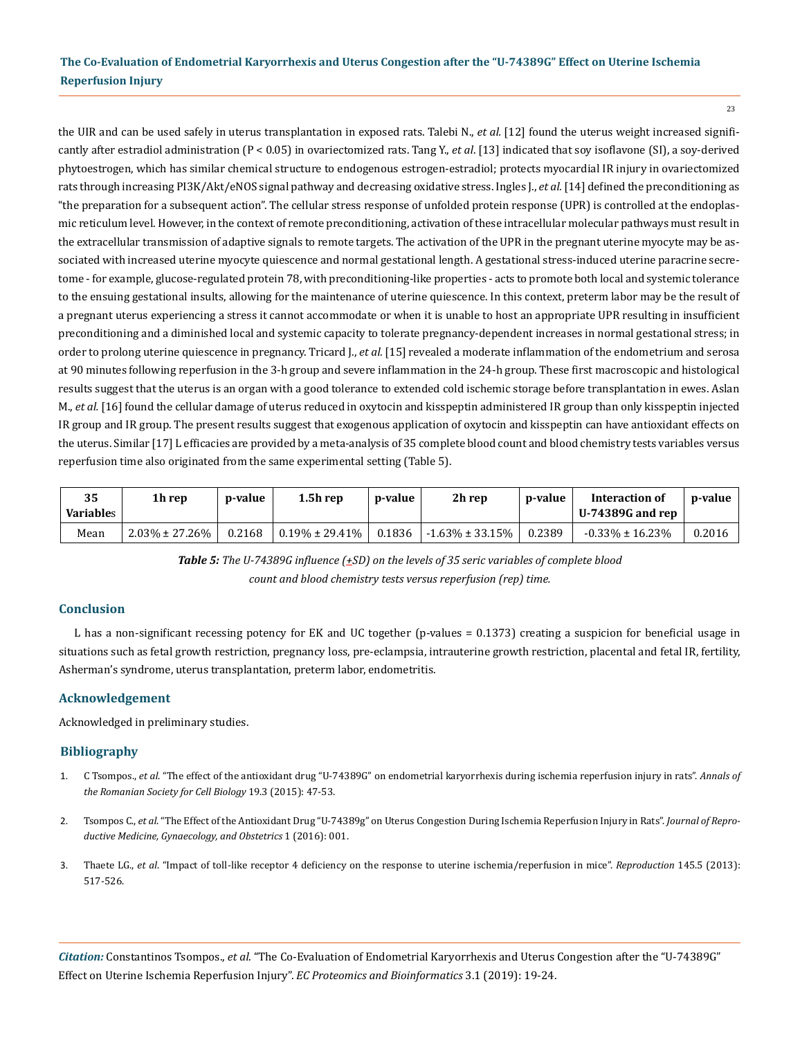23

the UIR and can be used safely in uterus transplantation in exposed rats. [Talebi N.](https://www.ncbi.nlm.nih.gov/pubmed/?term=Talebi%20N%5BAuthor%5D&cauthor=true&cauthor_uid=26941907), *et al.* [12] found the uterus weight increased significantly after estradiol administration (P < 0.05) in ovariectomized rats. [Tang Y.](https://www.ncbi.nlm.nih.gov/pubmed/?term=Tang%20Y%5BAuthor%5D&cauthor=true&cauthor_uid=27057277), *et al*. [13] indicated that soy isoflavone (SI), a soy-derived phytoestrogen, which has similar chemical structure to endogenous estrogen-estradiol; protects myocardial IR injury in ovariectomized rats through increasing PI3K/Akt/eNOS signal pathway and decreasing oxidative stress. [Ingles J](https://www.ncbi.nlm.nih.gov/pubmed/?term=Ingles%20J%5BAuthor%5D&cauthor=true&cauthor_uid=28376665)., *et al.* [14] defined the preconditioning as "the preparation for a subsequent action". The cellular stress response of unfolded protein response (UPR) is controlled at the endoplasmic reticulum level. However, in the context of remote preconditioning, activation of these intracellular molecular pathways must result in the extracellular transmission of adaptive signals to remote targets. The activation of the UPR in the pregnant uterine myocyte may be associated with increased uterine myocyte quiescence and normal gestational length. A gestational stress-induced uterine paracrine secretome - for example, glucose-regulated protein 78, with preconditioning-like properties - acts to promote both local and systemic tolerance to the ensuing gestational insults, allowing for the maintenance of uterine quiescence. In this context, preterm labor may be the result of a pregnant uterus experiencing a stress it cannot accommodate or when it is unable to host an appropriate UPR resulting in insufficient preconditioning and a diminished local and systemic capacity to tolerate pregnancy-dependent increases in normal gestational stress; in order to prolong uterine quiescence in pregnancy. [Tricard J.](https://www.ncbi.nlm.nih.gov/pubmed/?term=Tricard%20J%5BAuthor%5D&cauthor=true&cauthor_uid=28535402), *et al.* [15] revealed a moderate inflammation of the endometrium and serosa at 90 minutes following reperfusion in the 3-h group and severe inflammation in the 24-h group. These first macroscopic and histological results suggest that the uterus is an organ with a good tolerance to extended cold ischemic storage before transplantation in ewes. [Aslan](https://www.ncbi.nlm.nih.gov/pubmed/?term=Aslan%20M%5BAuthor%5D&cauthor=true&cauthor_uid=28805600) [M](https://www.ncbi.nlm.nih.gov/pubmed/?term=Aslan%20M%5BAuthor%5D&cauthor=true&cauthor_uid=28805600)., *et al.* [16] found the cellular damage of uterus reduced in oxytocin and kisspeptin administered IR group than only kisspeptin injected IR group and IR group. The present results suggest that exogenous application of oxytocin and kisspeptin can have antioxidant effects on the uterus. Similar [17] L efficacies are provided by a meta-analysis of 35 complete blood count and blood chemistry tests variables versus reperfusion time also originated from the same experimental setting (Table 5).

| 35<br><b>Variables</b> | 1h rep               | p-value | $1.5h$ rep           | p-value | 2h rep                | p-value | Interaction of<br>U-74389G and rep | p-value |
|------------------------|----------------------|---------|----------------------|---------|-----------------------|---------|------------------------------------|---------|
| Mean                   | $2.03\% \pm 27.26\%$ | 0.2168  | $0.19\% \pm 29.41\%$ | 0.1836  | $-1.63\% \pm 33.15\%$ | 0.2389  | $-0.33\% \pm 16.23\%$              | 0.2016  |

*Table 5: The U-74389G influence (+SD) on the levels of 35 seric variables of complete blood count and blood chemistry tests versus reperfusion (rep) time.*

### **Conclusion**

L has a non-significant recessing potency for EK and UC together (p-values = 0.1373) creating a suspicion for beneficial usage in situations such as fetal growth restriction, pregnancy loss, pre-eclampsia, intrauterine growth restriction, placental and fetal IR, fertility, Asherman's syndrome, uterus transplantation, preterm labor, endometritis.

## **Acknowledgement**

Acknowledged in preliminary studies.

## **Bibliography**

- 1. C Tsompos., *et al*[. "The effect of the antioxidant drug "U-74389G" on endometrial karyorrhexis during ischemia reperfusion injury in rats".](https://www.semanticscholar.org/paper/The-effect-of-the-antioxidant-drug-%E2%80%9C-U-74389-G-%E2%80%9D-on-%CE%A4sompos-Panoulis/898f35e7a8a35d3e4fdfc5b88742ff0d6aaab070) *Annals of [the Romanian Society for Cell Biology](https://www.semanticscholar.org/paper/The-effect-of-the-antioxidant-drug-%E2%80%9C-U-74389-G-%E2%80%9D-on-%CE%A4sompos-Panoulis/898f35e7a8a35d3e4fdfc5b88742ff0d6aaab070)* 19.3 (2015): 47-53.
- 2. Tsompos C., *et al*[. "The Effect of the Antioxidant Drug "U-74389g" on Uterus Congestion During Ischemia Reperfusion Injury in Rats".](http://www.heraldopenaccess.us/fulltext/Reproductive-Medicine-Gynaecology-&-Obstetrics/The-Effect-of-the-Antioxidant-Drug-U-74389g-on-Uterus-Congestion-During-Ischemia-Reperfusion-Injury-in-Rats.pdf) *Journal of Repro[ductive Medicine, Gynaecology, and Obstetrics](http://www.heraldopenaccess.us/fulltext/Reproductive-Medicine-Gynaecology-&-Obstetrics/The-Effect-of-the-Antioxidant-Drug-U-74389g-on-Uterus-Congestion-During-Ischemia-Reperfusion-Injury-in-Rats.pdf)* 1 (2016): 001.
- 3. Thaete LG., *et al*[. "Impact of toll-like receptor 4 deficiency on the response to uterine ischemia/reperfusion in mice".](https://www.ncbi.nlm.nih.gov/pubmed/23509372) *Reproduction* 145.5 (2013): [517-526.](https://www.ncbi.nlm.nih.gov/pubmed/23509372)

*Citation:* Constantinos Tsompos., *et al*. "The Co-Evaluation of Endometrial Karyorrhexis and Uterus Congestion after the "U-74389G" Effect on Uterine Ischemia Reperfusion Injury". *EC Proteomics and Bioinformatics* 3.1 (2019): 19-24.